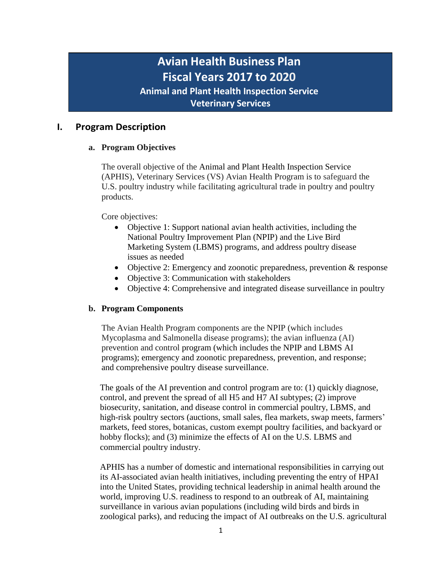# **Avian Health Business Plan Fiscal Years 2017 to 2020**

**Animal and Plant Health Inspection Service**

**Veterinary Services**

# **I. Program Description**

# **a. Program Objectives**

The overall objective of the Animal and Plant Health Inspection Service (APHIS), Veterinary Services (VS) Avian Health Program is to safeguard the U.S. poultry industry while facilitating agricultural trade in poultry and poultry products.

Core objectives:

- Objective 1: Support national avian health activities, including the National Poultry Improvement Plan (NPIP) and the Live Bird Marketing System (LBMS) programs, and address poultry disease issues as needed
- Objective 2: Emergency and zoonotic preparedness, prevention & response
- Objective 3: Communication with stakeholders
- Objective 4: Comprehensive and integrated disease surveillance in poultry

# **b. Program Components**

The Avian Health Program components are the NPIP (which includes Mycoplasma and Salmonella disease programs); the avian influenza (AI) prevention and control program (which includes the NPIP and LBMS AI programs); emergency and zoonotic preparedness, prevention, and response; and comprehensive poultry disease surveillance.

The goals of the AI prevention and control program are to: (1) quickly diagnose, control, and prevent the spread of all H5 and H7 AI subtypes; (2) improve biosecurity, sanitation, and disease control in commercial poultry, LBMS, and high-risk poultry sectors (auctions, small sales, flea markets, swap meets, farmers' markets, feed stores, botanicas, custom exempt poultry facilities, and backyard or hobby flocks); and (3) minimize the effects of AI on the U.S. LBMS and commercial poultry industry.

APHIS has a number of domestic and international responsibilities in carrying out its AI-associated avian health initiatives, including preventing the entry of HPAI into the United States, providing technical leadership in animal health around the world, improving U.S. readiness to respond to an outbreak of AI, maintaining surveillance in various avian populations (including wild birds and birds in zoological parks), and reducing the impact of AI outbreaks on the U.S. agricultural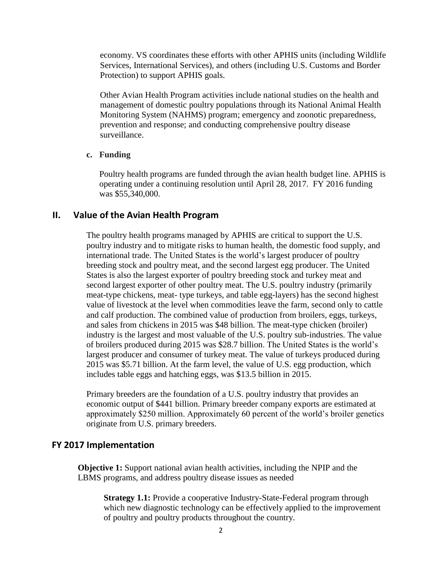economy. VS coordinates these efforts with other APHIS units (including Wildlife Services, International Services), and others (including U.S. Customs and Border Protection) to support APHIS goals.

Other Avian Health Program activities include national studies on the health and management of domestic poultry populations through its National Animal Health Monitoring System (NAHMS) program; emergency and zoonotic preparedness, prevention and response; and conducting comprehensive poultry disease surveillance.

#### **c. Funding**

Poultry health programs are funded through the avian health budget line. APHIS is operating under a continuing resolution until April 28, 2017. FY 2016 funding was \$55,340,000.

#### **II. Value of the Avian Health Program**

The poultry health programs managed by APHIS are critical to support the U.S. poultry industry and to mitigate risks to human health, the domestic food supply, and international trade. The United States is the world's largest producer of poultry breeding stock and poultry meat, and the second largest egg producer. The United States is also the largest exporter of poultry breeding stock and turkey meat and second largest exporter of other poultry meat. The U.S. poultry industry (primarily meat-type chickens, meat- type turkeys, and table egg-layers) has the second highest value of livestock at the level when commodities leave the farm, second only to cattle and calf production. The combined value of production from broilers, eggs, turkeys, and sales from chickens in 2015 was \$48 billion. The meat-type chicken (broiler) industry is the largest and most valuable of the U.S. poultry sub-industries. The value of broilers produced during 2015 was \$28.7 billion. The United States is the world's largest producer and consumer of turkey meat. The value of turkeys produced during 2015 was \$5.71 billion. At the farm level, the value of U.S. egg production, which includes table eggs and hatching eggs, was \$13.5 billion in 2015.

Primary breeders are the foundation of a U.S. poultry industry that provides an economic output of \$441 billion. Primary breeder company exports are estimated at approximately \$250 million. Approximately 60 percent of the world's broiler genetics originate from U.S. primary breeders.

#### **FY 2017 Implementation**

**Objective 1:** Support national avian health activities, including the NPIP and the LBMS programs, and address poultry disease issues as needed

**Strategy 1.1:** Provide a cooperative Industry-State-Federal program through which new diagnostic technology can be effectively applied to the improvement of poultry and poultry products throughout the country.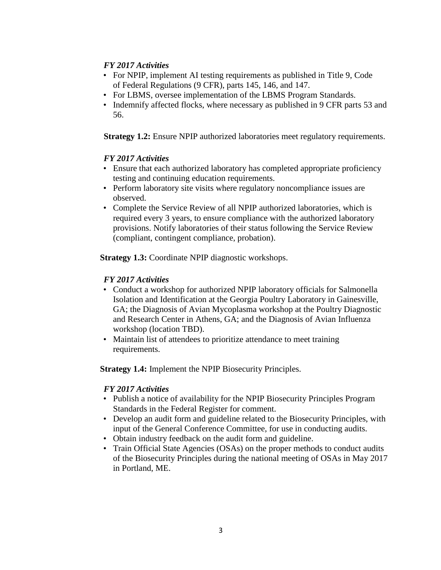## *FY 2017 Activities*

- For NPIP, implement AI testing requirements as published in Title 9, Code of Federal Regulations (9 CFR), parts 145, 146, and 147.
- For LBMS, oversee implementation of the LBMS Program Standards.
- Indemnify affected flocks, where necessary as published in 9 CFR parts 53 and 56.

**Strategy 1.2:** Ensure NPIP authorized laboratories meet regulatory requirements.

## *FY 2017 Activities*

- Ensure that each authorized laboratory has completed appropriate proficiency testing and continuing education requirements.
- Perform laboratory site visits where regulatory noncompliance issues are observed.
- Complete the Service Review of all NPIP authorized laboratories, which is required every 3 years, to ensure compliance with the authorized laboratory provisions. Notify laboratories of their status following the Service Review (compliant, contingent compliance, probation).

**Strategy 1.3:** Coordinate NPIP diagnostic workshops.

## *FY 2017 Activities*

- Conduct a workshop for authorized NPIP laboratory officials for Salmonella Isolation and Identification at the Georgia Poultry Laboratory in Gainesville, GA; the Diagnosis of Avian Mycoplasma workshop at the Poultry Diagnostic and Research Center in Athens, GA; and the Diagnosis of Avian Influenza workshop (location TBD).
- Maintain list of attendees to prioritize attendance to meet training requirements.

**Strategy 1.4:** Implement the NPIP Biosecurity Principles.

- Publish a notice of availability for the NPIP Biosecurity Principles Program Standards in the Federal Register for comment.
- Develop an audit form and guideline related to the Biosecurity Principles, with input of the General Conference Committee, for use in conducting audits.
- Obtain industry feedback on the audit form and guideline.
- Train Official State Agencies (OSAs) on the proper methods to conduct audits of the Biosecurity Principles during the national meeting of OSAs in May 2017 in Portland, ME.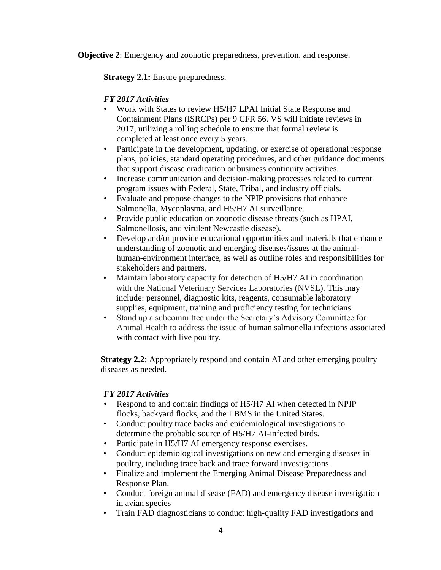**Objective 2**: Emergency and zoonotic preparedness, prevention, and response.

**Strategy 2.1:** Ensure preparedness.

# *FY 2017 Activities*

- Work with States to review H5/H7 LPAI Initial State Response and Containment Plans (ISRCPs) per 9 CFR 56. VS will initiate reviews in 2017, utilizing a rolling schedule to ensure that formal review is completed at least once every 5 years.
- Participate in the development, updating, or exercise of operational response plans, policies, standard operating procedures, and other guidance documents that support disease eradication or business continuity activities.
- Increase communication and decision-making processes related to current program issues with Federal, State, Tribal, and industry officials.
- Evaluate and propose changes to the NPIP provisions that enhance Salmonella, Mycoplasma, and H5/H7 AI surveillance.
- Provide public education on zoonotic disease threats (such as HPAI, Salmonellosis, and virulent Newcastle disease).
- Develop and/or provide educational opportunities and materials that enhance understanding of zoonotic and emerging diseases/issues at the animalhuman-environment interface, as well as outline roles and responsibilities for stakeholders and partners.
- Maintain laboratory capacity for detection of H5/H7 AI in coordination with the National Veterinary Services Laboratories (NVSL). This may include: personnel, diagnostic kits, reagents, consumable laboratory supplies, equipment, training and proficiency testing for technicians.
- Stand up a subcommittee under the Secretary's Advisory Committee for Animal Health to address the issue of human salmonella infections associated with contact with live poultry.

**Strategy 2.2:** Appropriately respond and contain AI and other emerging poultry diseases as needed.

- Respond to and contain findings of H5/H7 AI when detected in NPIP flocks, backyard flocks, and the LBMS in the United States.
- Conduct poultry trace backs and epidemiological investigations to determine the probable source of H5/H7 AI-infected birds.
- Participate in H5/H7 AI emergency response exercises.
- Conduct epidemiological investigations on new and emerging diseases in poultry, including trace back and trace forward investigations.
- Finalize and implement the Emerging Animal Disease Preparedness and Response Plan.
- Conduct foreign animal disease (FAD) and emergency disease investigation in avian species
- Train FAD diagnosticians to conduct high-quality FAD investigations and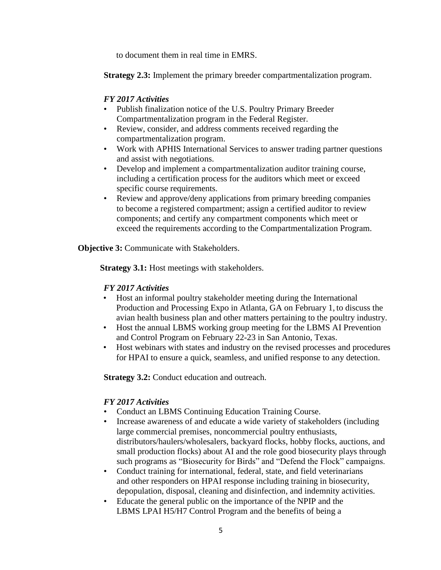to document them in real time in EMRS.

**Strategy 2.3:** Implement the primary breeder compartmentalization program.

## *FY 2017 Activities*

- Publish finalization notice of the U.S. Poultry Primary Breeder Compartmentalization program in the Federal Register.
- Review, consider, and address comments received regarding the compartmentalization program.
- Work with APHIS International Services to answer trading partner questions and assist with negotiations.
- Develop and implement a compartmentalization auditor training course, including a certification process for the auditors which meet or exceed specific course requirements.
- Review and approve/deny applications from primary breeding companies to become a registered compartment; assign a certified auditor to review components; and certify any compartment components which meet or exceed the requirements according to the Compartmentalization Program.

**Objective 3:** Communicate with Stakeholders.

**Strategy 3.1:** Host meetings with stakeholders.

# *FY 2017 Activities*

- Host an informal poultry stakeholder meeting during the International Production and Processing Expo in Atlanta, GA on February 1, to discuss the avian health business plan and other matters pertaining to the poultry industry.
- Host the annual LBMS working group meeting for the LBMS AI Prevention and Control Program on February 22-23 in San Antonio, Texas.
- Host webinars with states and industry on the revised processes and procedures for HPAI to ensure a quick, seamless, and unified response to any detection.

**Strategy 3.2:** Conduct education and outreach.

- Conduct an LBMS Continuing Education Training Course.
- Increase awareness of and educate a wide variety of stakeholders (including large commercial premises, noncommercial poultry enthusiasts, distributors/haulers/wholesalers, backyard flocks, hobby flocks, auctions, and small production flocks) about AI and the role good biosecurity plays through such programs as "Biosecurity for Birds" and "Defend the Flock" campaigns.
- Conduct training for international, federal, state, and field veterinarians and other responders on HPAI response including training in biosecurity, depopulation, disposal, cleaning and disinfection, and indemnity activities.
- Educate the general public on the importance of the NPIP and the LBMS LPAI H5/H7 Control Program and the benefits of being a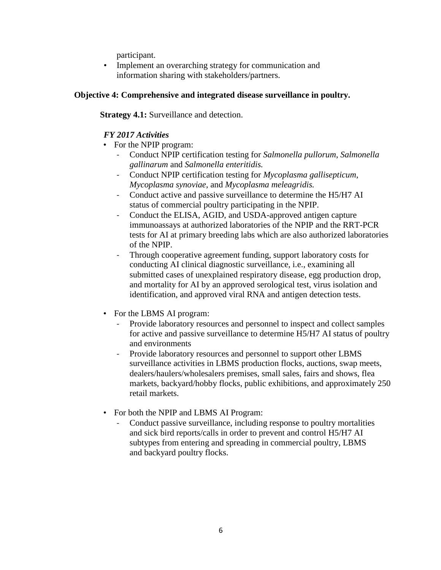participant.

• Implement an overarching strategy for communication and information sharing with stakeholders/partners.

## **Objective 4: Comprehensive and integrated disease surveillance in poultry.**

**Strategy 4.1:** Surveillance and detection.

- For the NPIP program:
	- Conduct NPIP certification testing for *Salmonella pullorum*, *Salmonella gallinarum* and *Salmonella enteritidis.*
	- Conduct NPIP certification testing for *Mycoplasma gallisepticum*, *Mycoplasma synoviae*, and *Mycoplasma meleagridis.*
	- Conduct active and passive surveillance to determine the H5/H7 AI status of commercial poultry participating in the NPIP.
	- Conduct the ELISA, AGID, and USDA-approved antigen capture immunoassays at authorized laboratories of the NPIP and the RRT-PCR tests for AI at primary breeding labs which are also authorized laboratories of the NPIP.
	- Through cooperative agreement funding, support laboratory costs for conducting AI clinical diagnostic surveillance, i.e., examining all submitted cases of unexplained respiratory disease, egg production drop, and mortality for AI by an approved serological test, virus isolation and identification, and approved viral RNA and antigen detection tests.
- For the LBMS AI program:
	- Provide laboratory resources and personnel to inspect and collect samples for active and passive surveillance to determine H5/H7 AI status of poultry and environments
	- Provide laboratory resources and personnel to support other LBMS surveillance activities in LBMS production flocks, auctions, swap meets, dealers/haulers/wholesalers premises, small sales, fairs and shows, flea markets, backyard/hobby flocks, public exhibitions, and approximately 250 retail markets.
- For both the NPIP and LBMS AI Program:
	- Conduct passive surveillance, including response to poultry mortalities and sick bird reports/calls in order to prevent and control H5/H7 AI subtypes from entering and spreading in commercial poultry, LBMS and backyard poultry flocks.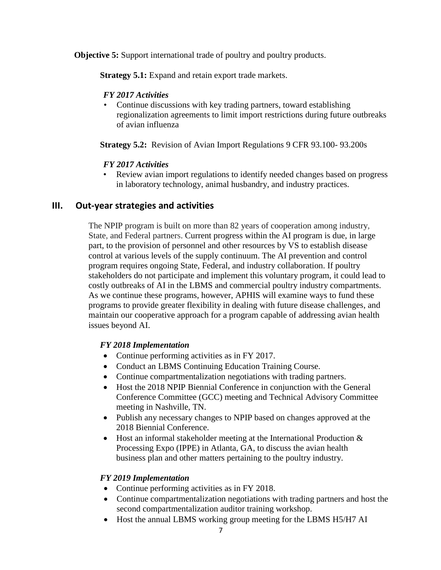**Objective 5:** Support international trade of poultry and poultry products.

**Strategy 5.1:** Expand and retain export trade markets.

#### *FY 2017 Activities*

• Continue discussions with key trading partners, toward establishing regionalization agreements to limit import restrictions during future outbreaks of avian influenza

**Strategy 5.2:** Revision of Avian Import Regulations 9 CFR 93.100- 93.200s

## *FY 2017 Activities*

• Review avian import regulations to identify needed changes based on progress in laboratory technology, animal husbandry, and industry practices.

# **III. Out-year strategies and activities**

The NPIP program is built on more than 82 years of cooperation among industry, State, and Federal partners. Current progress within the AI program is due, in large part, to the provision of personnel and other resources by VS to establish disease control at various levels of the supply continuum. The AI prevention and control program requires ongoing State, Federal, and industry collaboration. If poultry stakeholders do not participate and implement this voluntary program, it could lead to costly outbreaks of AI in the LBMS and commercial poultry industry compartments. As we continue these programs, however, APHIS will examine ways to fund these programs to provide greater flexibility in dealing with future disease challenges, and maintain our cooperative approach for a program capable of addressing avian health issues beyond AI.

#### *FY 2018 Implementation*

- Continue performing activities as in FY 2017.
- Conduct an LBMS Continuing Education Training Course.
- Continue compartmentalization negotiations with trading partners.
- Host the 2018 NPIP Biennial Conference in conjunction with the General Conference Committee (GCC) meeting and Technical Advisory Committee meeting in Nashville, TN.
- Publish any necessary changes to NPIP based on changes approved at the 2018 Biennial Conference.
- $\bullet$  Host an informal stakeholder meeting at the International Production  $\&$ Processing Expo (IPPE) in Atlanta, GA, to discuss the avian health business plan and other matters pertaining to the poultry industry.

# *FY 2019 Implementation*

- Continue performing activities as in FY 2018.
- Continue compartmentalization negotiations with trading partners and host the second compartmentalization auditor training workshop.
- Host the annual LBMS working group meeting for the LBMS H5/H7 AI